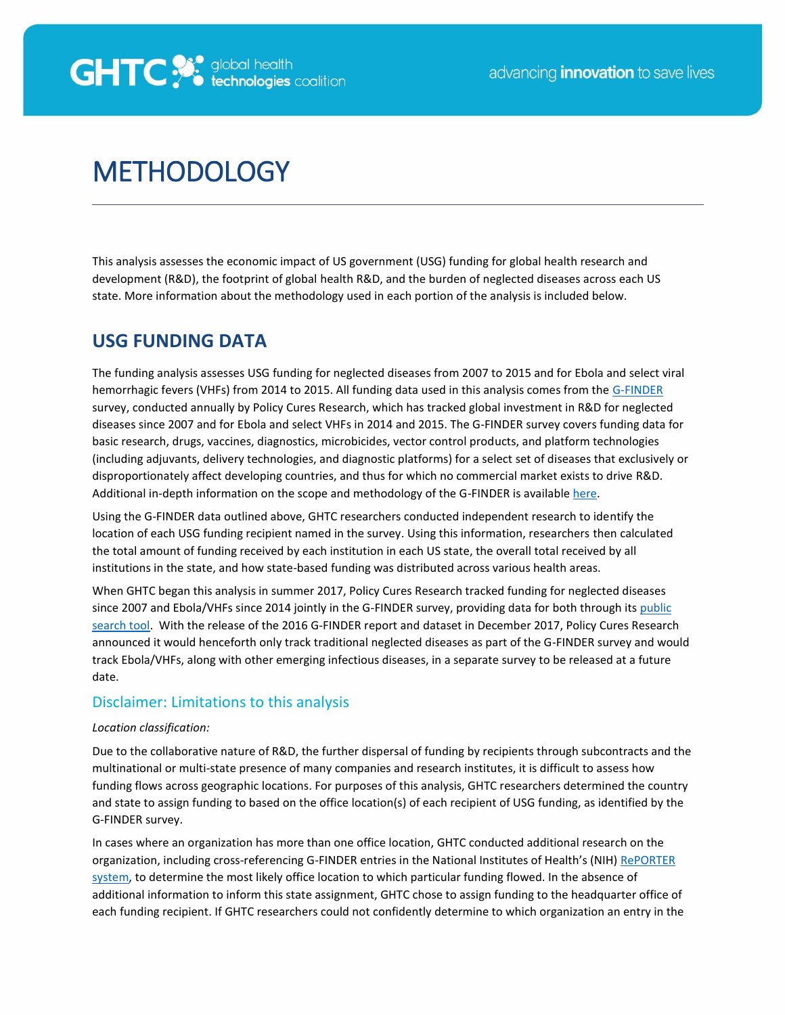

# **METHODOLOGY**

This analysis assesses the economic impact of US government (USG) funding for global health research and development (R&D), the footprint of global health R&D, and the burden of neglected diseases across each US state. More information about the methodology used in each portion of the analysis is included below.

### **USG FUNDING DATA**

The funding analysis assesses USG funding for neglected diseases from 2007 to 2015 and for Ebola and select viral hemorrhagic fevers (VHFs) from 2014 to 2015. All funding data used in this analysis comes from the [G-FINDER](http://www.policycuresresearch.org/g-finder/) survey, conducted annually by Policy Cures Research, which has tracked global investment in R&D for neglected diseases since 2007 and for Ebola and select VHFs in 2014 and 2015. The G-FINDER survey covers funding data for basic research, drugs, vaccines, diagnostics, microbicides, vector control products, and platform technologies (including adjuvants, delivery technologies, and diagnostic platforms) for a select set of diseases that exclusively or disproportionately affect developing countries, and thus for which no commercial market exists to drive R&D. Additional in-depth information on the scope and methodology of the G-FINDER is available [here.](http://www.policycuresresearch.org/g-finder)

Using the G-FINDER data outlined above, GHTC researchers conducted independent research to identify the location of each USG funding recipient named in the survey. Using this information, researchers then calculated the total amount of funding received by each institution in each US state, the overall total received by all institutions in the state, and how state-based funding was distributed across various health areas.

When GHTC began this analysis in summer 2017, Policy Cures Research tracked funding for neglected diseases since 2007 and Ebola/VHFs since 2014 jointly in the G-FINDER survey, providing data for both through its [public](https://gfinder.policycuresresearch.org/PublicSearchTool/)  [search tool.](https://gfinder.policycuresresearch.org/PublicSearchTool/) With the release of the 2016 G-FINDER report and dataset in December 2017, Policy Cures Research announced it would henceforth only track traditional neglected diseases as part of the G-FINDER survey and would track Ebola/VHFs, along with other emerging infectious diseases, in a separate survey to be released at a future date.

### Disclaimer: Limitations to this analysis

### *Location classification:*

Due to the collaborative nature of R&D, the further dispersal of funding by recipients through subcontracts and the multinational or multi-state presence of many companies and research institutes, it is difficult to assess how funding flows across geographic locations. For purposes of this analysis, GHTC researchers determined the country and state to assign funding to based on the office location(s) of each recipient of USG funding, as identified by the G-FINDER survey.

In cases where an organization has more than one office location, GHTC conducted additional research on the organization, including cross-referencing G-FINDER entries in the National Institutes of Health's (NIH) RePORTER [system,](https://projectreporter.nih.gov/) to determine the most likely office location to which particular funding flowed. In the absence of additional information to inform this state assignment, GHTC chose to assign funding to the headquarter office of each funding recipient. If GHTC researchers could not confidently determine to which organization an entry in the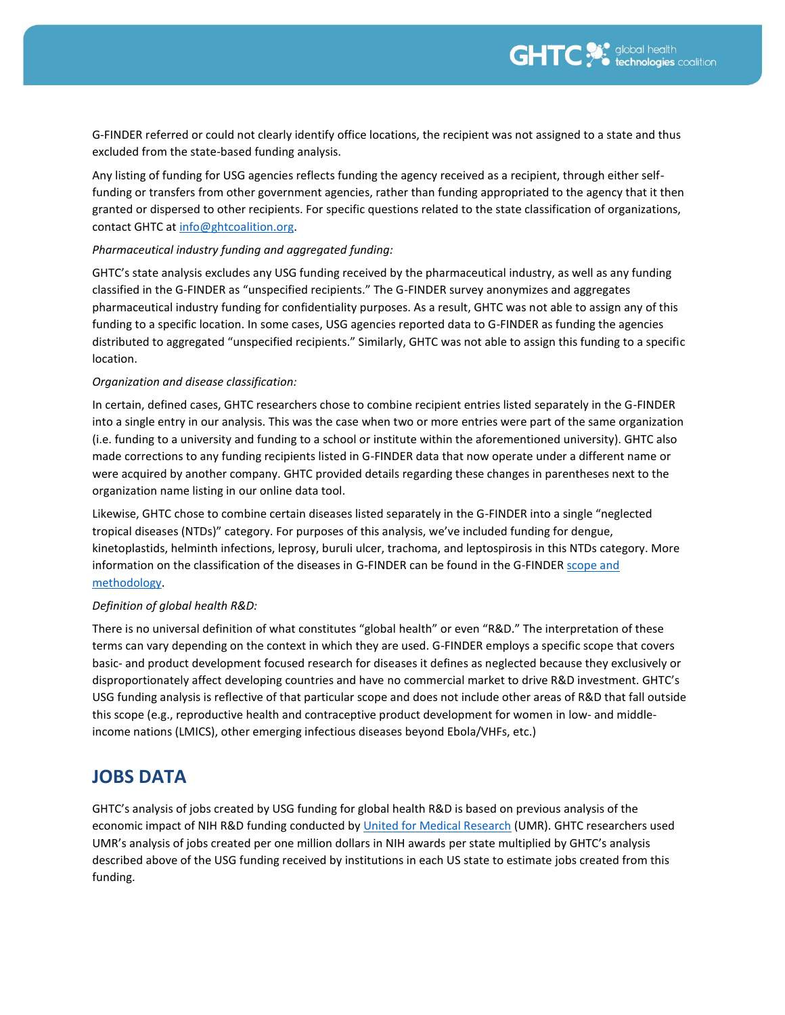G-FINDER referred or could not clearly identify office locations, the recipient was not assigned to a state and thus excluded from the state-based funding analysis.

Any listing of funding for USG agencies reflects funding the agency received as a recipient, through either selffunding or transfers from other government agencies, rather than funding appropriated to the agency that it then granted or dispersed to other recipients. For specific questions related to the state classification of organizations, contact GHTC at [info@ghtcoalition.org.](mailto:info@ghtcoalition.org) 

### *Pharmaceutical industry funding and aggregated funding:*

GHTC's state analysis excludes any USG funding received by the pharmaceutical industry, as well as any funding classified in the G-FINDER as "unspecified recipients." The G-FINDER survey anonymizes and aggregates pharmaceutical industry funding for confidentiality purposes. As a result, GHTC was not able to assign any of this funding to a specific location. In some cases, USG agencies reported data to G-FINDER as funding the agencies distributed to aggregated "unspecified recipients." Similarly, GHTC was not able to assign this funding to a specific location.

### *Organization and disease classification:*

In certain, defined cases, GHTC researchers chose to combine recipient entries listed separately in the G-FINDER into a single entry in our analysis. This was the case when two or more entries were part of the same organization (i.e. funding to a university and funding to a school or institute within the aforementioned university). GHTC also made corrections to any funding recipients listed in G-FINDER data that now operate under a different name or were acquired by another company. GHTC provided details regarding these changes in parentheses next to the organization name listing in our online data tool.

Likewise, GHTC chose to combine certain diseases listed separately in the G-FINDER into a single "neglected tropical diseases (NTDs)" category. For purposes of this analysis, we've included funding for dengue, kinetoplastids, helminth infections, leprosy, buruli ulcer, trachoma, and leptospirosis in this NTDs category. More information on the classification of the diseases in G-FINDER can be found in the G-FINDER [scope and](http://www.policycuresresearch.org/g-finder/)  [methodology.](http://www.policycuresresearch.org/g-finder/)

### *Definition of global health R&D:*

There is no universal definition of what constitutes "global health" or even "R&D." The interpretation of these terms can vary depending on the context in which they are used. G-FINDER employs a specific scope that covers basic- and product development focused research for diseases it defines as neglected because they exclusively or disproportionately affect developing countries and have no commercial market to drive R&D investment. GHTC's USG funding analysis is reflective of that particular scope and does not include other areas of R&D that fall outside this scope (e.g., reproductive health and contraceptive product development for women in low- and middleincome nations (LMICS), other emerging infectious diseases beyond Ebola/VHFs, etc.)

### **JOBS DATA**

GHTC's analysis of jobs created by USG funding for global health R&D is based on previous analysis of the economic impact of NIH R&D funding conducted b[y United for Medical Research](http://www.unitedformedicalresearch.com/wp-content/uploads/2017/03/NIH-Role-in-the-Economy-FY2016.pdf) (UMR). GHTC researchers used UMR's analysis of jobs created per one million dollars in NIH awards per state multiplied by GHTC's analysis described above of the USG funding received by institutions in each US state to estimate jobs created from this funding.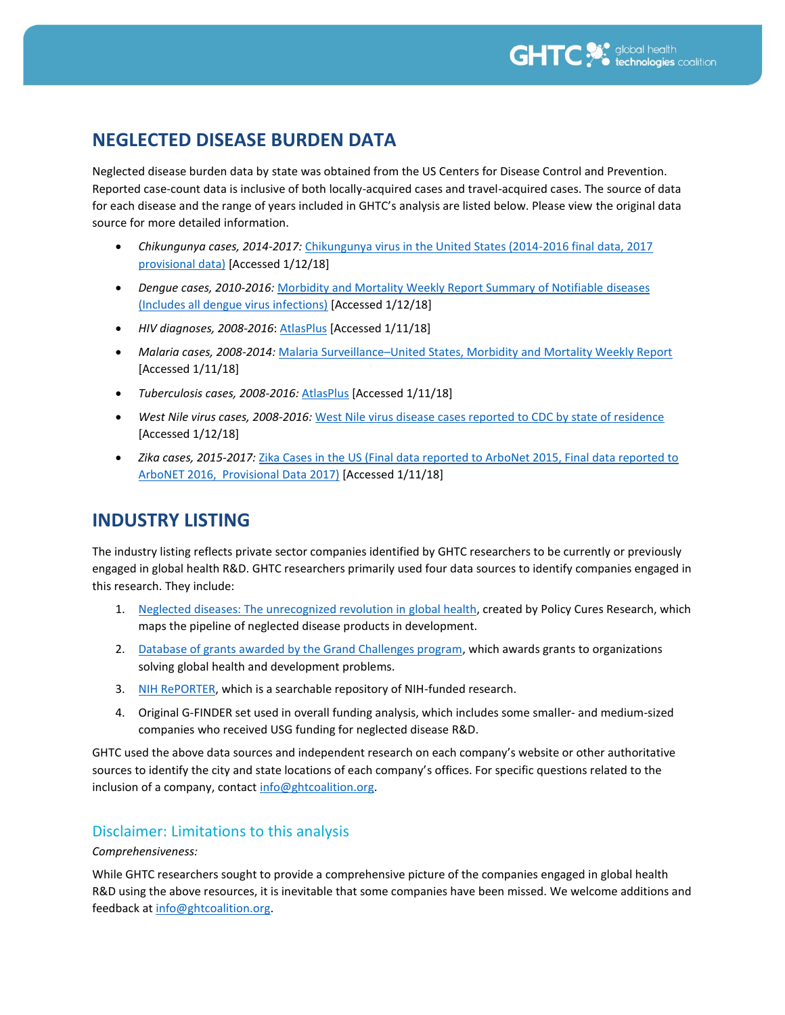## **NEGLECTED DISEASE BURDEN DATA**

Neglected disease burden data by state was obtained from the US Centers for Disease Control and Prevention. Reported case-count data is inclusive of both locally-acquired cases and travel-acquired cases. The source of data for each disease and the range of years included in GHTC's analysis are listed below. Please view the original data source for more detailed information.

- *Chikungunya cases, 2014-2017:* [Chikungunya virus in the United States \(2014-2016 final data, 2017](https://www.cdc.gov/chikungunya/geo/united-states-2014.html)  [provisional data\)](https://www.cdc.gov/chikungunya/geo/united-states-2014.html) [Accessed 1/12/18]
- *Dengue cases, 2010-2016:* [Morbidity and Mortality Weekly Report Summary of Notifiable diseases](https://www.cdc.gov/malaria/references_resources/mmwr.html#unitedstates [Accessed 1/11/18]) [\(Includes all dengue virus infections\)](https://www.cdc.gov/malaria/references_resources/mmwr.html#unitedstates [Accessed 1/11/18]) [Accessed 1/12/18]
- *HIV diagnoses, 2008-2016*[: AtlasPlus](https://www.cdc.gov/nchhstp/atlas/index.htm) [Accessed 1/11/18]
- *Malaria cases, 2008-2014:* Malaria Surveillance–United States, Morbidity and [Mortality Weekly Report](https://www.cdc.gov/malaria/references_resources/mmwr.html#unitedstates) [Accessed 1/11/18]
- *Tuberculosis cases, 2008-2016:* [AtlasPlus](https://www.cdc.gov/nchhstp/atlas/index.htm) [Accessed 1/11/18]
- *West Nile virus cases, 2008-2016:* [West Nile virus disease cases reported to CDC by state of residence](https://www.cdc.gov/westnile/statsmaps/cumMapsData.html) [Accessed 1/12/18]
- *Zika cases, 2015-2017:* [Zika Cases in the US \(Final data reported to ArboNet 2015, Final data reported to](https://www.cdc.gov/zika/reporting/2015-case-counts.html)  [ArboNET 2016, Provisional Data 2017\)](https://www.cdc.gov/zika/reporting/2015-case-counts.html) [Accessed 1/11/18]

### **INDUSTRY LISTING**

The industry listing reflects private sector companies identified by GHTC researchers to be currently or previously engaged in global health R&D. GHTC researchers primarily used four data sources to identify companies engaged in this research. They include:

- 1. [Neglected diseases: The unrecognized revolution in](http://pipeline.policycuresresearch.org/) global health, created by Policy Cures Research, which maps the pipeline of neglected disease products in development.
- 2. [Database of grants awarded by the Grand Challenges program,](https://grandchallenges.org/#/list) which awards grants to organizations solving global health and development problems.
- 3. [NIH RePORTER,](https://report.nih.gov/) which is a searchable repository of NIH-funded research.
- 4. Original G-FINDER set used in overall funding analysis, which includes some smaller- and medium-sized companies who received USG funding for neglected disease R&D.

GHTC used the above data sources and independent research on each company's website or other authoritative sources to identify the city and state locations of each company's offices. For specific questions related to the inclusion of a company, contact [info@ghtcoalition.org.](mailto:info@ghtcoalition.org)

### Disclaimer: Limitations to this analysis

### *Comprehensiveness:*

While GHTC researchers sought to provide a comprehensive picture of the companies engaged in global health R&D using the above resources, it is inevitable that some companies have been missed. We welcome additions and feedback a[t info@ghtcoalition.org.](mailto:info@ghtcoalition.org)